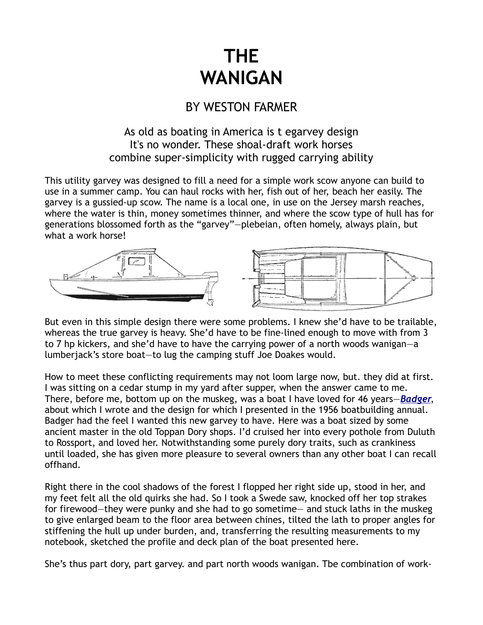## **THE WANIGAN**

## BY WESTON FARMER

## As old as boating in America is t egarvey design It's no wonder. These shoal-draft work horses combine super-simplicity with rugged carrying ability

This utility garvey was designed to fill a need for a simple work scow anyone can build to use in a summer camp. You can haul rocks with her, fish out of her, beach her easily. The garvey is a gussied-up scow. The name is a local one, in use on the Jersey marsh reaches, where the water is thin, money sometimes thinner, and where the scow type of hull has for generations blossomed forth as the "garvey"—plebeian, often homely, always plain, but what a work horse!



But even in this simple design there were some problems. I knew she'd have to be trailable, whereas the true garvey is heavy. She'd have to be fine-lined enough to move with from 3 to 7 hp kickers, and she'd have to have the carrying power of a north woods wanigan—a lumberjack's store boat—to lug the camping stuff Joe Doakes would.

How to meet these conflicting requirements may not loom large now, but. they did at first. I was sitting on a cedar stump in my yard after supper, when the answer came to me. There, before me, bottom up on the muskeg, was a boat I have loved for 46 years—*[Badger](http://www.duckworksbbs.com/product-p/wf-badger.htm)*, about which I wrote and the design for which I presented in the 1956 boatbuilding annual. Badger had the feel I wanted this new garvey to have. Here was a boat sized by some ancient master in the old Toppan Dory shops. I'd cruised her into every pothole from Duluth to Rossport, and loved her. Notwithstanding some purely dory traits, such as crankiness until loaded, she has given more pleasure to several owners than any other boat I can recall offhand.

Right there in the cool shadows of the forest I flopped her right side up, stood in her, and my feet felt all the old quirks she had. So I took a Swede saw, knocked off her top strakes for firewood—they were punky and she had to go sometime— and stuck laths in the muskeg to give enlarged beam to the floor area between chines, tilted the lath to proper angles for stiffening the hull up under burden, and, transferring the resulting measurements to my notebook, sketched the profile and deck plan of the boat presented here.

She's thus part dory, part garvey. and part north woods wanigan. Tbe combination of work-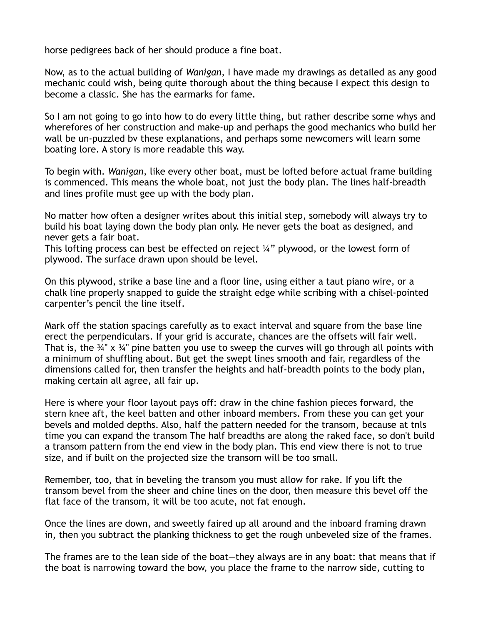horse pedigrees back of her should produce a fine boat.

Now, as to the actual building of *Wanigan*, I have made my drawings as detailed as any good mechanic could wish, being quite thorough about the thing because I expect this design to become a classic. She has the earmarks for fame.

So I am not going to go into how to do every little thing, but rather describe some whys and wherefores of her construction and make-up and perhaps the good mechanics who build her wall be un-puzzled bv these explanations, and perhaps some newcomers will learn some boating lore. A story is more readable this way.

To begin with. *Wanigan*, like every other boat, must be lofted before actual frame building is commenced. This means the whole boat, not just the body plan. The lines half-breadth and lines profile must gee up with the body plan.

No matter how often a designer writes about this initial step, somebody will always try to build his boat laying down the body plan only. He never gets the boat as designed, and never gets a fair boat.

This lofting process can best be effected on reject  $\frac{1}{4}$ " plywood, or the lowest form of plywood. The surface drawn upon should be level.

On this plywood, strike a base line and a floor line, using either a taut piano wire, or a chalk line properly snapped to guide the straight edge while scribing with a chisel-pointed carpenter's pencil the line itself.

Mark off the station spacings carefully as to exact interval and square from the base line erect the perpendiculars. If your grid is accurate, chances are the offsets will fair well. That is, the  $\frac{3}{4}$ " x  $\frac{3}{4}$ " pine batten you use to sweep the curves will go through all points with a minimum of shuffling about. But get the swept lines smooth and fair, regardless of the dimensions called for, then transfer the heights and half-breadth points to the body plan, making certain all agree, all fair up.

Here is where your floor layout pays off: draw in the chine fashion pieces forward, the stern knee aft, the keel batten and other inboard members. From these you can get your bevels and molded depths. Also, half the pattern needed for the transom, because at tnls time you can expand the transom The half breadths are along the raked face, so don't build a transom pattern from the end view in the body plan. This end view there is not to true size, and if built on the projected size the transom will be too small.

Remember, too, that in beveling the transom you must allow for rake. If you lift the transom bevel from the sheer and chine lines on the door, then measure this bevel off the flat face of the transom, it will be too acute, not fat enough.

Once the lines are down, and sweetly faired up all around and the inboard framing drawn in, then you subtract the planking thickness to get the rough unbeveled size of the frames.

The frames are to the lean side of the boat—they always are in any boat: that means that if the boat is narrowing toward the bow, you place the frame to the narrow side, cutting to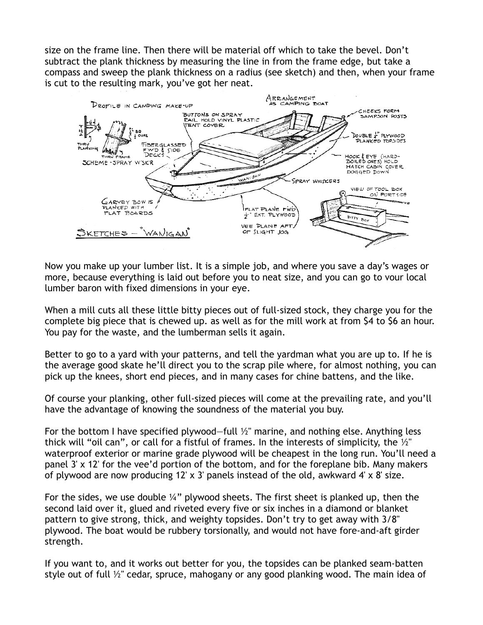size on the frame line. Then there will be material off which to take the bevel. Don't subtract the plank thickness by measuring the line in from the frame edge, but take a compass and sweep the plank thickness on a radius (see sketch) and then, when your frame is cut to the resulting mark, you've got her neat.



Now you make up your lumber list. It is a simple job, and where you save a day's wages or more, because everything is laid out before you to neat size, and you can go to vour local lumber baron with fixed dimensions in your eye.

When a mill cuts all these little bitty pieces out of full-sized stock, they charge you for the complete big piece that is chewed up. as well as for the mill work at from \$4 to \$6 an hour. You pay for the waste, and the lumberman sells it again.

Better to go to a yard with your patterns, and tell the yardman what you are up to. If he is the average good skate he'll direct you to the scrap pile where, for almost nothing, you can pick up the knees, short end pieces, and in many cases for chine battens, and the like.

Of course your planking, other full-sized pieces will come at the prevailing rate, and you'll have the advantage of knowing the soundness of the material you buy.

For the bottom I have specified plywood—full  $\frac{1}{2}$ " marine, and nothing else. Anything less thick will "oil can", or call for a fistful of frames. In the interests of simplicity, the  $\frac{1}{2}$ " waterproof exterior or marine grade plywood will be cheapest in the long run. You'll need a panel 3' x 12' for the vee'd portion of the bottom, and for the foreplane bib. Many makers of plywood are now producing 12' x 3' panels instead of the old, awkward 4' x 8' size.

For the sides, we use double  $\frac{1}{4}$ " plywood sheets. The first sheet is planked up, then the second laid over it, glued and riveted every five or six inches in a diamond or blanket pattern to give strong, thick, and weighty topsides. Don't try to get away with 3/8" plywood. The boat would be rubbery torsionally, and would not have fore-and-aft girder strength.

If you want to, and it works out better for you, the topsides can be planked seam-batten style out of full ½" cedar, spruce, mahogany or any good planking wood. The main idea of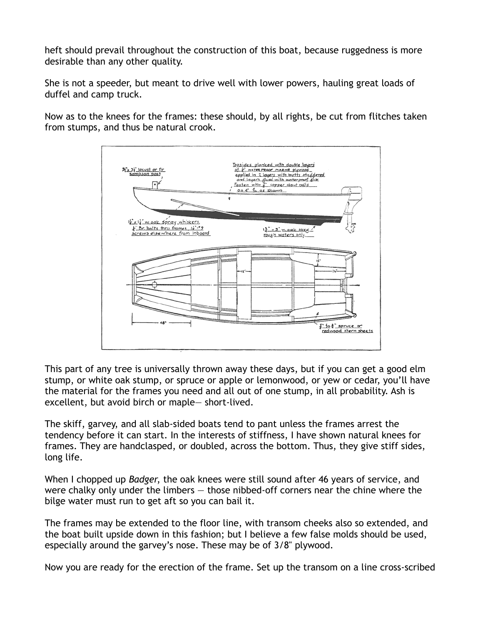heft should prevail throughout the construction of this boat, because ruggedness is more desirable than any other quality.

She is not a speeder, but meant to drive well with lower powers, hauling great loads of duffel and camp truck.

Now as to the knees for the frames: these should, by all rights, be cut from flitches taken from stumps, and thus be natural crook.



This part of any tree is universally thrown away these days, but if you can get a good elm stump, or white oak stump, or spruce or apple or lemonwood, or yew or cedar, you'll have the material for the frames you need and all out of one stump, in all probability. Ash is excellent, but avoid birch or maple— short-lived.

The skiff, garvey, and all slab-sided boats tend to pant unless the frames arrest the tendency before it can start. In the interests of stiffness, I have shown natural knees for frames. They are handclasped, or doubled, across the bottom. Thus, they give stiff sides, long life.

When I chopped up *Badger*, the oak knees were still sound after 46 years of service, and were chalky only under the limbers — those nibbed-off corners near the chine where the bilge water must run to get aft so you can bail it.

The frames may be extended to the floor line, with transom cheeks also so extended, and the boat built upside down in this fashion; but I believe a few false molds should be used, especially around the garvey's nose. These may be of 3/8" plywood.

Now you are ready for the erection of the frame. Set up the transom on a line cross-scribed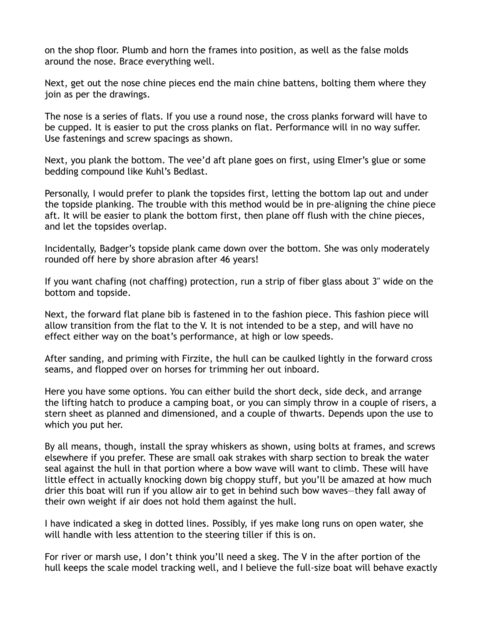on the shop floor. Plumb and horn the frames into position, as well as the false molds around the nose. Brace everything well.

Next, get out the nose chine pieces end the main chine battens, bolting them where they join as per the drawings.

The nose is a series of flats. If you use a round nose, the cross planks forward will have to be cupped. It is easier to put the cross planks on flat. Performance will in no way suffer. Use fastenings and screw spacings as shown.

Next, you plank the bottom. The vee'd aft plane goes on first, using Elmer's glue or some bedding compound like Kuhl's Bedlast.

Personally, I would prefer to plank the topsides first, letting the bottom lap out and under the topside planking. The trouble with this method would be in pre-aligning the chine piece aft. It will be easier to plank the bottom first, then plane off flush with the chine pieces, and let the topsides overlap.

Incidentally, Badger's topside plank came down over the bottom. She was only moderately rounded off here by shore abrasion after 46 years!

If you want chafing (not chaffing) protection, run a strip of fiber glass about 3" wide on the bottom and topside.

Next, the forward flat plane bib is fastened in to the fashion piece. This fashion piece will allow transition from the flat to the V. It is not intended to be a step, and will have no effect either way on the boat's performance, at high or low speeds.

After sanding, and priming with Firzite, the hull can be caulked lightly in the forward cross seams, and flopped over on horses for trimming her out inboard.

Here you have some options. You can either build the short deck, side deck, and arrange the lifting hatch to produce a camping boat, or you can simply throw in a couple of risers, a stern sheet as planned and dimensioned, and a couple of thwarts. Depends upon the use to which you put her.

By all means, though, install the spray whiskers as shown, using bolts at frames, and screws elsewhere if you prefer. These are small oak strakes with sharp section to break the water seal against the hull in that portion where a bow wave will want to climb. These will have little effect in actually knocking down big choppy stuff, but you'll be amazed at how much drier this boat will run if you allow air to get in behind such bow waves—they fall away of their own weight if air does not hold them against the hull.

I have indicated a skeg in dotted lines. Possibly, if yes make long runs on open water, she will handle with less attention to the steering tiller if this is on.

For river or marsh use, I don't think you'll need a skeg. The V in the after portion of the hull keeps the scale model tracking well, and I believe the full-size boat will behave exactly